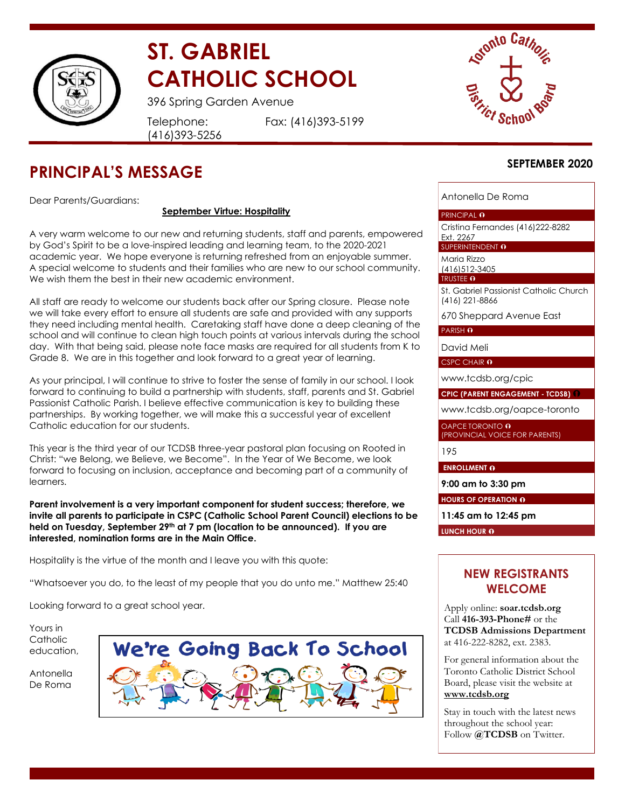

# **ST. GABRIEL CATHOLIC SCHOOL**

396 Spring Garden Avenue

Telephone: (416)393-5256 Fax: (416)393-5199



# **PRINCIPAL'S MESSAGE**

Dear Parents/Guardians:

#### **September Virtue: Hospitality**

A very warm welcome to our new and returning students, staff and parents, empowered by God's Spirit to be a love-inspired leading and learning team, to the 2020-2021 academic year. We hope everyone is returning refreshed from an enjoyable summer. A special welcome to students and their families who are new to our school community. We wish them the best in their new academic environment.

All staff are ready to welcome our students back after our Spring closure. Please note we will take every effort to ensure all students are safe and provided with any supports they need including mental health. Caretaking staff have done a deep cleaning of the school and will continue to clean high touch points at various intervals during the school day. With that being said, please note face masks are required for all students from K to Grade 8. We are in this together and look forward to a great year of learning.

As your principal, I will continue to strive to foster the sense of family in our school. I look forward to continuing to build a partnership with students, staff, parents and St. Gabriel Passionist Catholic Parish. I believe effective communication is key to building these partnerships. By working together, we will make this a successful year of excellent Catholic education for our students.

This year is the third year of our TCDSB three-year pastoral plan focusing on Rooted in Christ: "we Belong, we Believe, we Become". In the Year of We Become, we look forward to focusing on inclusion, acceptance and becoming part of a community of learners.

**Parent involvement is a very important component for student success; therefore, we invite all parents to participate in CSPC (Catholic School Parent Council) elections to be held on Tuesday, September 29th at 7 pm (location to be announced). If you are interested, nomination forms are in the Main Office.**

Hospitality is the virtue of the month and I leave you with this quote:

"Whatsoever you do, to the least of my people that you do unto me." Matthew 25:40

Looking forward to a great school year.

Yours in Catholic education,

Antonella De Roma



### **SEPTEMBER 2020**

Antonella De Roma

#### PRINCIPAL O

Cristina Fernandes (416)222-8282 Ext. 2267

SUPERINTENDENT O

Maria Rizzo (416)512-3405

TRUSTEE O

St. Gabriel Passionist Catholic Church (416) 221-8866

670 Sheppard Avenue East

PARISH O

David Meli

CSPC CHAIR **0** 

[www.tcdsb.org/cpic](http://www.tcdsb.org/cpic)

**CPIC (PARENT ENGAGEMENT - TCDSB)**

[www.tcdsb.org/oapce-toronto](http://www.tcdsb.org/oapce-toronto)

OAPCE TORONTO **0** (PROVINCIAL VOICE FOR PARENTS)

195

**ENROLLMENT O** 

**9:00 am to 3:30 pm**

**HOURS OF OPERATION <b>O** 

**11:45 am to 12:45 pm**

LUNCH HOUR **O** 

# **NEW REGISTRANTS WELCOME**

Apply online: **soar.tcdsb.org** Call **416-393-Phone#** or the **TCDSB Admissions Department** at 416-222-8282, ext. 2383.

For general information about the Toronto Catholic District School Board, please visit the website at **[www.tcdsb.org](http://www.tcdsb.org/)**

Stay in touch with the latest news throughout the school year: Follow **@TCDSB** on Twitter.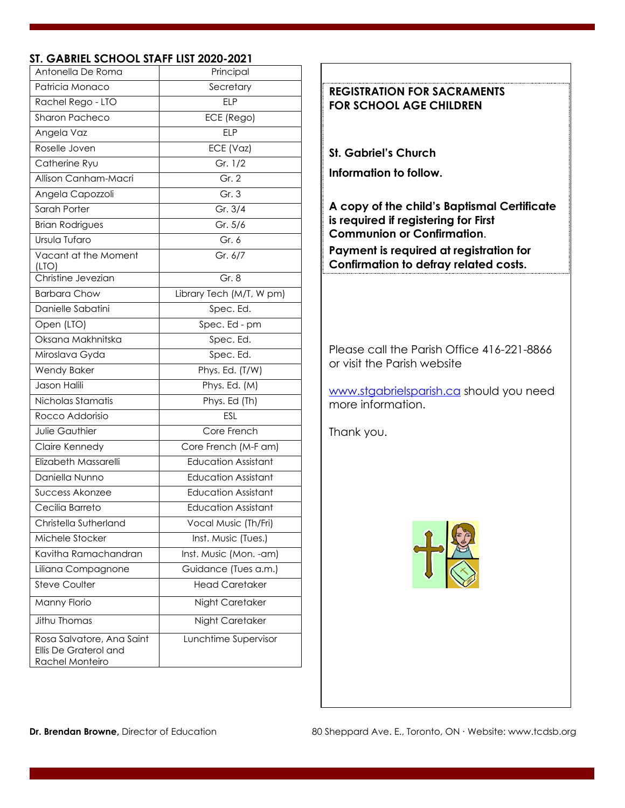# **ST. GABRIEL SCHOOL STAFF LIST 2020-2021**

| Antonella De Roma                                                     | Principal                  |  |
|-----------------------------------------------------------------------|----------------------------|--|
| Patricia Monaco                                                       | Secretary                  |  |
| Rachel Rego - LTO                                                     | <b>ELP</b>                 |  |
| Sharon Pacheco                                                        | ECE (Rego)                 |  |
| Angela Vaz                                                            | <b>ELP</b>                 |  |
| Roselle Joven                                                         | ECE (Vaz)                  |  |
| Catherine Ryu                                                         | Gr. 1/2                    |  |
| Allison Canham-Macri                                                  | Gr. 2                      |  |
| Angela Capozzoli                                                      | Gr.3                       |  |
| Sarah Porter                                                          | Gr. 3/4                    |  |
| <b>Brian Rodrigues</b>                                                | Gr. 5/6                    |  |
| Ursula Tufaro                                                         | Gr. 6                      |  |
| Vacant at the Moment<br>(LTO)                                         | Gr. 6/7                    |  |
| Christine Jevezian                                                    | Gr. 8                      |  |
| <b>Barbara Chow</b>                                                   | Library Tech (M/T, W pm)   |  |
| Danielle Sabatini                                                     | Spec. Ed.                  |  |
| Open (LTO)                                                            | Spec. Ed - pm              |  |
| Oksana Makhnitska                                                     | Spec. Ed.                  |  |
| Miroslava Gyda                                                        | Spec. Ed.                  |  |
| <b>Wendy Baker</b>                                                    | Phys. Ed. (T/W)            |  |
| Jason Halili                                                          | Phys. Ed. (M)              |  |
| Nicholas Stamatis                                                     | Phys. Ed (Th)              |  |
| Rocco Addorisio                                                       | ESL                        |  |
| <b>Julie Gauthier</b>                                                 | Core French                |  |
| Claire Kennedy                                                        | Core French (M-F am)       |  |
| Elizabeth Massarelli                                                  | <b>Education Assistant</b> |  |
| Daniella Nunno                                                        | <b>Education Assistant</b> |  |
| Success Akonzee                                                       | <b>Education Assistant</b> |  |
| Cecilia Barreto                                                       | <b>Education Assistant</b> |  |
| Christella Sutherland                                                 | Vocal Music (Th/Fri)       |  |
| Michele Stocker                                                       | Inst. Music (Tues.)        |  |
| Kavitha Ramachandran                                                  | Inst. Music (Mon. - am)    |  |
| Liliana Compagnone                                                    | Guidance (Tues a.m.)       |  |
| <b>Steve Coulter</b>                                                  | <b>Head Caretaker</b>      |  |
| Manny Florio                                                          | Night Caretaker            |  |
| Jithu Thomas                                                          | Night Caretaker            |  |
| Rosa Salvatore, Ana Saint<br>Ellis De Graterol and<br>Rachel Monteiro | Lunchtime Supervisor       |  |



[www.stgabrielsparish.ca](http://www.stgabrielsparish.ca/) should you need more information.

Thank you.

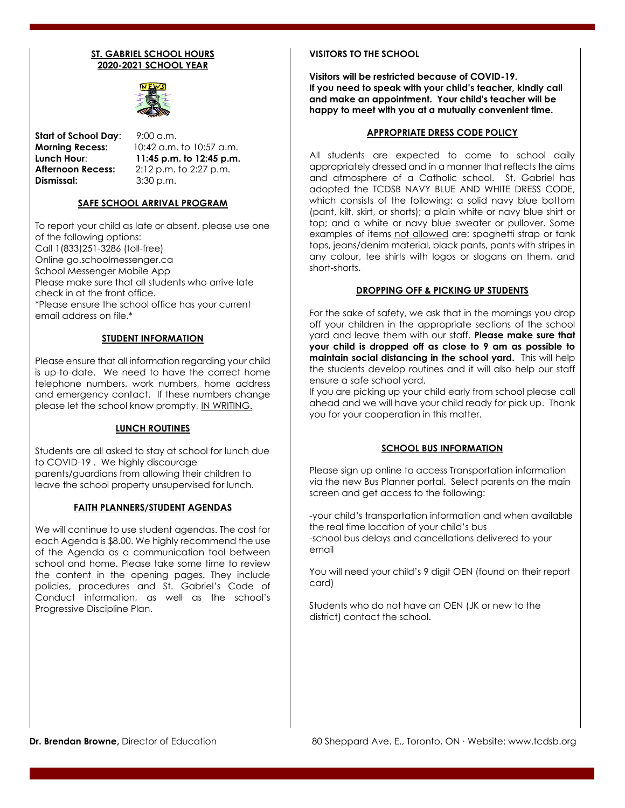#### **ST. GABRIEL SCHOOL HOURS 2020-2021 SCHOOL YEAR**



**Start of School Day:** 9:00 a.m. **Dismissal:** 3:30 p.m.

**Morning Recess:** 10:42 a.m. to 10:57 a.m. **Lunch Hour**: **11:45 p.m. to 12:45 p.m. Afternoon Recess:** 2:12 p.m. to 2:27 p.m.

#### **SAFE SCHOOL ARRIVAL PROGRAM**

To report your child as late or absent, please use one of the following options: Call 1(833)251-3286 (toll-free) Online go.schoolmessenger.ca School Messenger Mobile App Please make sure that all students who arrive late check in at the front office. \*Please ensure the school office has your current email address on file.\*

#### **STUDENT INFORMATION**

Please ensure that all information regarding your child is up-to-date. We need to have the correct home telephone numbers, work numbers, home address and emergency contact. If these numbers change please let the school know promptly, IN WRITING.

#### **LUNCH ROUTINES**

Students are all asked to stay at school for lunch due to COVID-19 . We highly discourage parents/guardians from allowing their children to leave the school property unsupervised for lunch.

#### **FAITH PLANNERS/STUDENT AGENDAS**

We will continue to use student agendas. The cost for each Agenda is \$8.00. We highly recommend the use of the Agenda as a communication tool between school and home. Please take some time to review the content in the opening pages. They include policies, procedures and St. Gabriel's Code of Conduct information, as well as the school's Progressive Discipline Plan.

#### **VISITORS TO THE SCHOOL**

**Visitors will be restricted because of COVID-19. If you need to speak with your child's teacher, kindly call and make an appointment. Your child's teacher will be happy to meet with you at a mutually convenient time.** 

#### **APPROPRIATE DRESS CODE POLICY**

All students are expected to come to school daily appropriately dressed and in a manner that reflects the aims and atmosphere of a Catholic school. St. Gabriel has adopted the TCDSB NAVY BLUE AND WHITE DRESS CODE, which consists of the following: a solid navy blue bottom (pant, kilt, skirt, or shorts); a plain white or navy blue shirt or top; and a white or navy blue sweater or pullover. Some examples of items not allowed are: spaghetti strap or tank tops, jeans/denim material, black pants, pants with stripes in any colour, tee shirts with logos or slogans on them, and short-shorts.

#### **DROPPING OFF & PICKING UP STUDENTS**

For the sake of safety, we ask that in the mornings you drop off your children in the appropriate sections of the school yard and leave them with our staff. **Please make sure that your child is dropped off as close to 9 am as possible to maintain social distancing in the school yard.** This will help the students develop routines and it will also help our staff ensure a safe school yard.

If you are picking up your child early from school please call ahead and we will have your child ready for pick up. Thank you for your cooperation in this matter.

#### **SCHOOL BUS INFORMATION**

Please sign up online to access Transportation information via the new Bus Planner portal. Select parents on the main screen and get access to the following:

-your child's transportation information and when available the real time location of your child's bus -school bus delays and cancellations delivered to your email

You will need your child's 9 digit OEN (found on their report card)

Students who do not have an OEN (JK or new to the district) contact the school.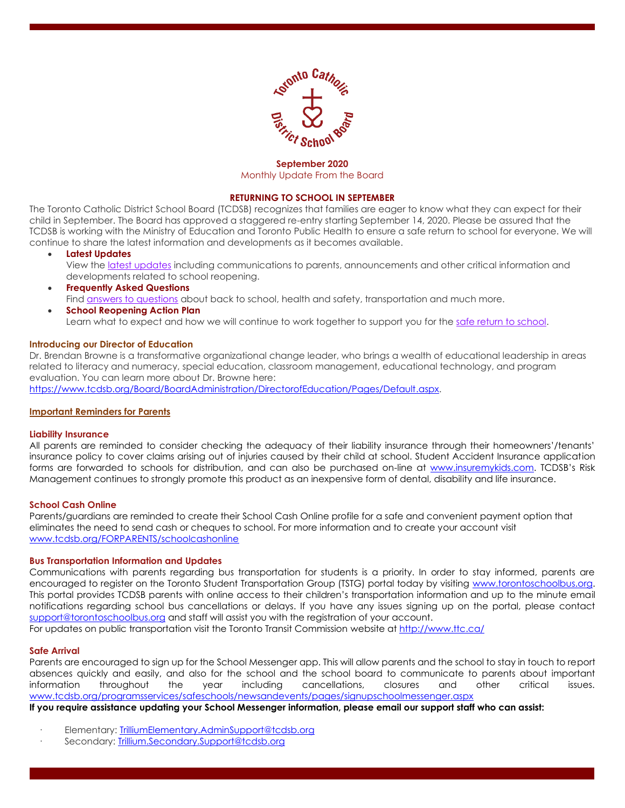

#### **September 2020**  Monthly Update From the Board

#### **RETURNING TO SCHOOL IN SEPTEMBER**

The Toronto Catholic District School Board (TCDSB) recognizes that families are eager to know what they can expect for their child in September. The Board has approved a staggered re-entry starting September 14, 2020. Please be assured that the TCDSB is working with the Ministry of Education and Toronto Public Health to ensure a safe return to school for everyone. We will continue to share the latest information and developments as it becomes available.

• **Latest Updates**

View the [latest updates](https://www.tcdsb.org/FORSTUDENTS/back-to-school/Pages/latest-updates.aspx) including communications to parents, announcements and other critical information and developments related to school reopening.

- **Frequently Asked Questions** Find [answers to questions](https://www.tcdsb.org/FORSTUDENTS/back-to-school/Pages/faq.aspx) about back to school, health and safety, transportation and much more.
- **School Reopening Action Plan** Learn what to expect and how we will continue to work together to support you for the [safe return to school.](https://www.tcdsb.org/FORSTUDENTS/back-to-school/Pages/reopening-plan.aspx)

#### **Introducing our Director of Education**

Dr. Brendan Browne is a transformative organizational change leader, who brings a wealth of educational leadership in areas related to literacy and numeracy, special education, classroom management, educational technology, and program evaluation. You can learn more about Dr. Browne here:

[https://www.tcdsb.org/Board/BoardAdministration/DirectorofEducation/Pages/Default.aspx.](https://www.tcdsb.org/Board/BoardAdministration/DirectorofEducation/Pages/Default.aspx)

#### **Important Reminders for Parents**

#### **Liability Insurance**

All parents are reminded to consider checking the adequacy of their liability insurance through their homeowners'/tenants' insurance policy to cover claims arising out of injuries caused by their child at school. Student Accident Insurance application forms are forwarded to schools for distribution, and can also be purchased on-line at [www.insuremykids.com.](http://www.insuremykids.com/) TCDSB's Risk Management continues to strongly promote this product as an inexpensive form of dental, disability and life insurance.

#### **School Cash Online**

Parents/guardians are reminded to create their School Cash Online profile for a safe and convenient payment option that eliminates the need to send cash or cheques to school. For more information and to create your account visit [www.tcdsb.org/FORPARENTS/schoolcashonline](http://www.tcdsb.org/FORPARENTS/schoolcashonline)

#### **Bus Transportation Information and Updates**

Communications with parents regarding bus transportation for students is a priority. In order to stay informed, parents are encouraged to register on the Toronto Student Transportation Group (TSTG) portal today by visiting [www.torontoschoolbus.org.](http://www.torontoschoolbus.org/) This portal provides TCDSB parents with online access to their children's transportation information and up to the minute email notifications regarding school bus cancellations or delays. If you have any issues signing up on the portal, please contact [support@torontoschoolbus.org](mailto:support@torontoschoolbus.org) and staff will assist you with the registration of your account.

For updates on public transportation visit the Toronto Transit Commission website at<http://www.ttc.ca/>

#### **Safe Arrival**

Parents are encouraged to sign up for the School Messenger app. This will allow parents and the school to stay in touch to report absences quickly and easily, and also for the school and the school board to communicate to parents about important information throughout the year including cancellations, closures and other critical issues. [www.tcdsb.org/programsservices/safeschools/newsandevents/pages/signupschoolmessenger.aspx](https://www.tcdsb.org/programsservices/safeschools/newsandevents/pages/signupschoolmessenger.aspx) 

If you require assistance updating your School Messenger information, please email our support staff who can assist:

- Elementary: [TrilliumElementary.AdminSupport@tcdsb.org](mailto:TrilliumElementary.AdminSupport@tcdsb.org)
- Secondary: [Trillium.Secondary.Support@tcdsb.org](mailto:Trillium.Secondary.Support@tcdsb.org)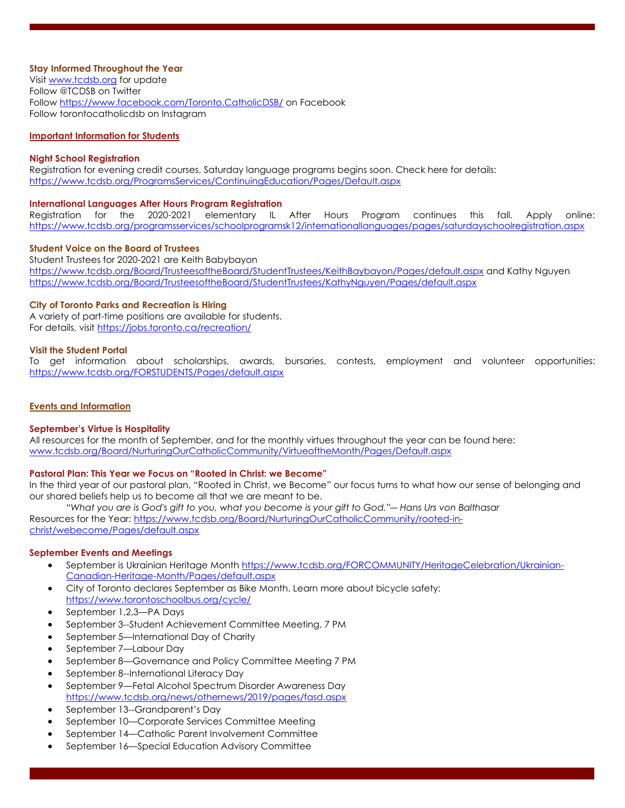#### **Stay Informed Throughout the Year**

Visit [www.tcdsb.org](http://www.tcdsb.org/) for update Follow @TCDSB on Twitter Follow<https://www.facebook.com/Toronto.CatholicDSB/> on Facebook Follow torontocatholicdsb on Instagram

#### **Important Information for Students**

#### **Night School Registration**

Registration for evening credit courses, Saturday language programs begins soon. Check here for details: <https://www.tcdsb.org/ProgramsServices/ContinuingEducation/Pages/Default.aspx>

#### **International Languages After Hours Program Registration**

Registration for the 2020-2021 elementary IL After Hours Program continues this fall. Apply online: <https://www.tcdsb.org/programsservices/schoolprogramsk12/internationallanguages/pages/saturdayschoolregistration.aspx>

#### **Student Voice on the Board of Trustees**

Student Trustees for 2020-2021 are Keith Babybayon <https://www.tcdsb.org/Board/TrusteesoftheBoard/StudentTrustees/KeithBaybayon/Pages/default.aspx> and Kathy Nguyen <https://www.tcdsb.org/Board/TrusteesoftheBoard/StudentTrustees/KathyNguyen/Pages/default.aspx>

#### **City of Toronto Parks and Recreation is Hiring**

A variety of part-time positions are available for students. For details, visit<https://jobs.toronto.ca/recreation/>

#### **Visit the Student Portal**

To get information about scholarships, awards, bursaries, contests, employment and volunteer opportunities: <https://www.tcdsb.org/FORSTUDENTS/Pages/default.aspx>

#### **Events and Information**

#### **September's Virtue is Hospitality**

All resources for the month of September, and for the monthly virtues throughout the year can be found here: [www.tcdsb.org/Board/NurturingOurCatholicCommunity/VirtueoftheMonth/Pages/Default.aspx](http://www.tcdsb.org/Board/NurturingOurCatholicCommunity/VirtueoftheMonth/Pages/Default.aspx)

#### **Pastoral Plan: This Year we Focus on "Rooted in Christ: we Become"**

In the third year of our pastoral plan, "Rooted in Christ, we Become" our focus turns to what how our sense of belonging and our shared beliefs help us to become all that we are meant to be.

"What you are is God's gift to you, what you become is your gift to God."— Hans Urs von Balthasar Resources for the Year: [https://www.tcdsb.org/Board/NurturingOurCatholicCommunity/rooted-in](https://www.tcdsb.org/Board/NurturingOurCatholicCommunity/rooted-in-christ/webecome/Pages/default.aspx)[christ/webecome/Pages/default.aspx](https://www.tcdsb.org/Board/NurturingOurCatholicCommunity/rooted-in-christ/webecome/Pages/default.aspx)

#### **September Events and Meetings**

- September is Ukrainian Heritage Month [https://www.tcdsb.org/FORCOMMUNITY/HeritageCelebration/Ukrainian-](https://www.tcdsb.org/FORCOMMUNITY/HeritageCelebration/Ukrainian-Canadian-Heritage-Month/Pages/default.aspx)[Canadian-Heritage-Month/Pages/default.aspx](https://www.tcdsb.org/FORCOMMUNITY/HeritageCelebration/Ukrainian-Canadian-Heritage-Month/Pages/default.aspx)
- City of Toronto declares September as Bike Month. Learn more about bicycle safety: <https://www.torontoschoolbus.org/cycle/>
- September 1,2,3—PA Days
- September 3--Student Achievement Committee Meeting, 7 PM
- September 5—International Day of Charity
- September 7—Labour Day
- September 8—Governance and Policy Committee Meeting 7 PM
- September 8--International Literacy Day
- September 9—Fetal Alcohol Spectrum Disorder Awareness Day <https://www.tcdsb.org/news/othernews/2019/pages/fasd.aspx>
- September 13--Grandparent's Day
- September 10—Corporate Services Committee Meeting
- September 14—Catholic Parent Involvement Committee
- September 16—Special Education Advisory Committee